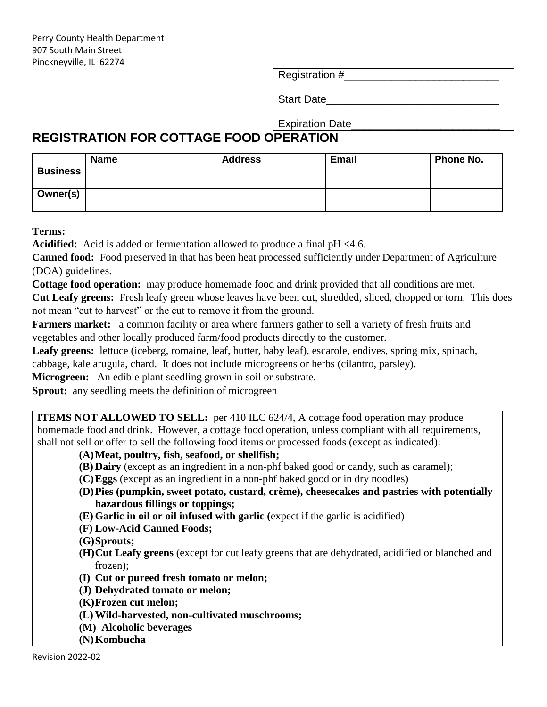Registration #

Start Date

Expiration Date\_\_\_\_\_\_\_\_\_\_\_\_\_\_\_\_\_\_\_\_\_\_\_\_\_

## **REGISTRATION FOR COTTAGE FOOD OPERATION**

|                 | <b>Name</b> | <b>Address</b> | <b>Email</b> | Phone No. |
|-----------------|-------------|----------------|--------------|-----------|
| <b>Business</b> |             |                |              |           |
|                 |             |                |              |           |
| Owner(s)        |             |                |              |           |
|                 |             |                |              |           |

**Terms:**

**Acidified:** Acid is added or fermentation allowed to produce a final pH <4.6.

**Canned food:** Food preserved in that has been heat processed sufficiently under Department of Agriculture (DOA) guidelines.

**Cottage food operation:** may produce homemade food and drink provided that all conditions are met.

**Cut Leafy greens:** Fresh leafy green whose leaves have been cut, shredded, sliced, chopped or torn. This does not mean "cut to harvest" or the cut to remove it from the ground.

**Farmers market:** a common facility or area where farmers gather to sell a variety of fresh fruits and vegetables and other locally produced farm/food products directly to the customer.

Leafy greens: lettuce (iceberg, romaine, leaf, butter, baby leaf), escarole, endives, spring mix, spinach, cabbage, kale arugula, chard. It does not include microgreens or herbs (cilantro, parsley).

**Microgreen:** An edible plant seedling grown in soil or substrate.

**Sprout:** any seedling meets the definition of microgreen

**ITEMS NOT ALLOWED TO SELL:** per 410 ILC 624/4, A cottage food operation may produce homemade food and drink. However, a cottage food operation, unless compliant with all requirements, shall not sell or offer to sell the following food items or processed foods (except as indicated):

## **(A)Meat, poultry, fish, seafood, or shellfish;**

- **(B) Dairy** (except as an ingredient in a non-phf baked good or candy, such as caramel);
- **(C)Eggs** (except as an ingredient in a non-phf baked good or in dry noodles)
- **(D)Pies (pumpkin, sweet potato, custard, crème), cheesecakes and pastries with potentially hazardous fillings or toppings;**
- **(E) Garlic in oil or oil infused with garlic (**expect if the garlic is acidified)
- **(F) Low-Acid Canned Foods;**
- **(G)Sprouts;**
- **(H)Cut Leafy greens** (except for cut leafy greens that are dehydrated, acidified or blanched and frozen);
- **(I) Cut or pureed fresh tomato or melon;**
- **(J) Dehydrated tomato or melon;**
- **(K)Frozen cut melon;**
- **(L) Wild-harvested, non-cultivated muschrooms;**
- **(M) Alcoholic beverages**
- **(N)Kombucha**